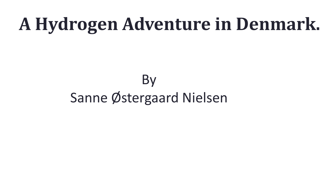# **A Hydrogen Adventure in Denmark.**

## **By** Sanne Østergaard Nielsen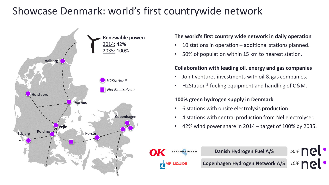### Showcase Denmark: world's first countrywide network



#### **The world's first country wide network in daily operation**

- 10 stations in operation additional stations planned.
- 50% of population within 15 km to nearest station.

#### **Collaboration with leading oil, energy and gas companies**

- Joint ventures investments with oil & gas companies.
- H2Station® fueling equipment and handling of O&M.

#### **100% green hydrogen supply in Denmark**

- 6 stations with onsite electrolysis production.
- 4 stations with central production from Nel electrolyser.
- 42% wind power share in 2014 target of 100% by 2035.

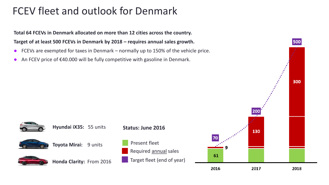### FCEV fleet and outlook for Denmark

**Total 64 FCEVs in Denmark allocated on more than 12 cities across the country. Target of at least 500 FCEVs in Denmark by 2018 – requires annual sales growth.**

- FCEVs are exempted for taxes in Denmark normally up to 150% of the vehicle price.
- An FCEV price of €40.000 will be fully competitive with gasoline in Denmark.







**Toyota Mirai:** 9 units



**Honda Clarity:** From 2016



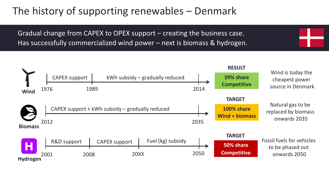### The history of supporting renewables – Denmark

Gradual change from CAPEX to OPEX support – creating the business case. Has successfully commercialized wind power – next is biomass & hydrogen.

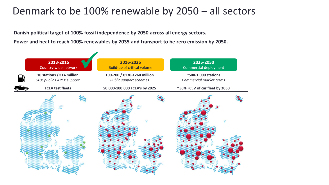### Denmark to be 100% renewable by 2050 – all sectors

**Danish political target of 100% fossil independence by 2050 across all energy sectors. Power and heat to reach 100% renewables by 2035 and transport to be zero emission by 2050.**